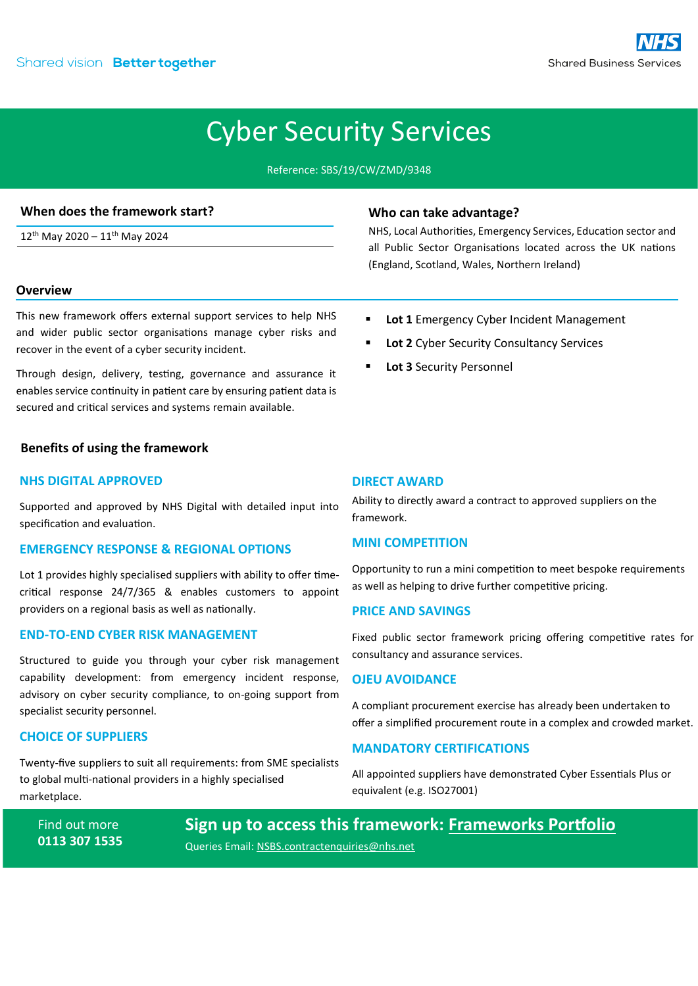## Cyber Security Services

Reference: SBS/19/CW/ZMD/9348

## **When does the framework start?**

12<sup>th</sup> May 2020 - 11<sup>th</sup> May 2024

## **Overview**

This new framework offers external support services to help NHS and wider public sector organisations manage cyber risks and recover in the event of a cyber security incident.

Through design, delivery, testing, governance and assurance it enables service continuity in patient care by ensuring patient data is secured and critical services and systems remain available.

## **Benefits of using the framework**

## **NHS DIGITAL APPROVED**

Supported and approved by NHS Digital with detailed input into specification and evaluation.

## **EMERGENCY RESPONSE & REGIONAL OPTIONS**

Lot 1 provides highly specialised suppliers with ability to offer timecritical response 24/7/365 & enables customers to appoint providers on a regional basis as well as nationally.

## **END-TO-END CYBER RISK MANAGEMENT**

Structured to guide you through your cyber risk management capability development: from emergency incident response, advisory on cyber security compliance, to on-going support from specialist security personnel.

#### **CHOICE OF SUPPLIERS**

Twenty-five suppliers to suit all requirements: from SME specialists to global multi-national providers in a highly specialised marketplace.

Find out more **0113 307 1535**

E[: NSBS.contractenquiries@nhs.net](mailto:NSBS.contractenquiries@nhs.net?subject=Contract%20Enquiry)

# **Sign up to access this framework: [Frameworks Portfolio](https://www.sbs.nhs.uk/proc-framework-agreements-support)**

Queries Email: [NSBS.contractenquiries@nhs.net](mailto:NSBS.contractenquiries@nhs.net?subject=Contract%20Enquiry)

## **Who can take advantage?**

NHS, Local Authorities, Emergency Services, Education sector and all Public Sector Organisations located across the UK nations (England, Scotland, Wales, Northern Ireland)

- Lot 1 Emergency Cyber Incident Management
- **Lot 2** Cyber Security Consultancy Services
- **Lot 3** Security Personnel

## **DIRECT AWARD**

Ability to directly award a contract to approved suppliers on the framework.

#### **MINI COMPETITION**

Opportunity to run a mini competition to meet bespoke requirements as well as helping to drive further competitive pricing.

#### **PRICE AND SAVINGS**

Fixed public sector framework pricing offering competitive rates for consultancy and assurance services.

#### **OJEU AVOIDANCE**

A compliant procurement exercise has already been undertaken to offer a simplified procurement route in a complex and crowded market.

#### **MANDATORY CERTIFICATIONS**

All appointed suppliers have demonstrated Cyber Essentials Plus or equivalent (e.g. ISO27001)